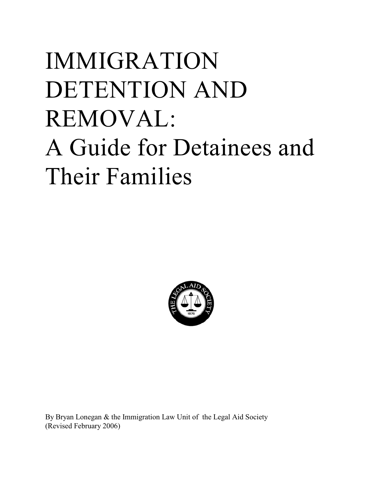# IMMIGRATION DETENTION AND REMOVAL: A Guide for Detainees and Their Families



By Bryan Lonegan & the Immigration Law Unit of the Legal Aid Society (Revised February 2006)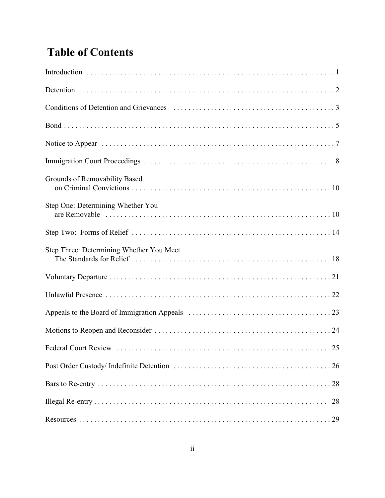# **Table of Contents**

| Grounds of Removability Based            |
|------------------------------------------|
| Step One: Determining Whether You        |
|                                          |
| Step Three: Determining Whether You Meet |
|                                          |
|                                          |
|                                          |
|                                          |
|                                          |
|                                          |
|                                          |
| 28                                       |
|                                          |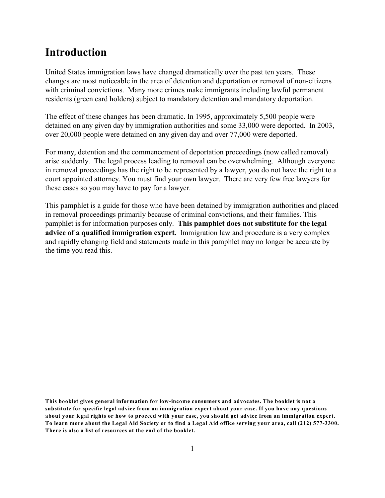## **Introduction**

United States immigration laws have changed dramatically over the past ten years. These changes are most noticeable in the area of detention and deportation or removal of non-citizens with criminal convictions. Many more crimes make immigrants including lawful permanent residents (green card holders) subject to mandatory detention and mandatory deportation.

The effect of these changes has been dramatic. In 1995, approximately 5,500 people were detained on any given day by immigration authorities and some 33,000 were deported. In 2003, over 20,000 people were detained on any given day and over 77,000 were deported.

For many, detention and the commencement of deportation proceedings (now called removal) arise suddenly. The legal process leading to removal can be overwhelming. Although everyone in removal proceedings has the right to be represented by a lawyer, you do not have the right to a court appointed attorney. You must find your own lawyer. There are very few free lawyers for these cases so you may have to pay for a lawyer.

This pamphlet is a guide for those who have been detained by immigration authorities and placed in removal proceedings primarily because of criminal convictions, and their families. This pamphlet is for information purposes only. **This pamphlet does not substitute for the legal advice of a qualified immigration expert.** Immigration law and procedure is a very complex and rapidly changing field and statements made in this pamphlet may no longer be accurate by the time you read this.

**This booklet gives general information for low-income consumers and advocates. The booklet is not a substitute for specific legal advice from an immigration expert about your case. If you have any questions about your legal rights or how to proceed with your case, you should get advice from an immigration expert. To learn more about the Legal Aid Society or to find a Legal Aid office serving your area, call (212) 577-3300. There is also a list of resources at the end of the booklet.**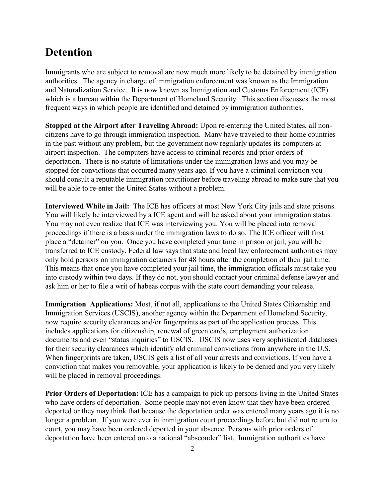## **Detention**

Immigrants who are subject to removal are now much more likely to be detained by immigration authorities. The agency in charge of immigration enforcement was known as the Immigration and Naturalization Service. It is now known as Immigration and Customs Enforcement (ICE) which is a bureau within the Department of Homeland Security. This section discusses the most frequent ways in which people are identified and detained by immigration authorities.

**Stopped at the Airport after Traveling Abroad:** Upon re-entering the United States, all noncitizens have to go through immigration inspection. Many have traveled to their home countries in the past without any problem, but the government now regularly updates its computers at airport inspection. The computers have access to criminal records and prior orders of deportation. There is no statute of limitations under the immigration laws and you may be stopped for convictions that occurred many years ago. If you have a criminal conviction you should consult a reputable immigration practitioner before traveling abroad to make sure that you will be able to re-enter the United States without a problem.

**Interviewed While in Jail:** The ICE has officers at most New York City jails and state prisons. You will likely be interviewed by a ICE agent and will be asked about your immigration status. You may not even realize that ICE was interviewing you. You will be placed into removal proceedings if there is a basis under the immigration laws to do so. The ICE officer will first place a "detainer" on you. Once you have completed your time in prison or jail, you will be transferred to ICE custody. Federal law says that state and local law enforcement authorities may only hold persons on immigration detainers for 48 hours after the completion of their jail time. This means that once you have completed your jail time, the immigration officials must take you into custody within two days. If they do not, you should contact your criminal defense lawyer and ask him or her to file a writ of habeas corpus with the state court demanding your release.

**Immigration Applications:** Most, if not all, applications to the United States Citizenship and Immigration Services (USCIS), another agency within the Department of Homeland Security, now require security clearances and/or fingerprints as part of the application process. This includes applications for citizenship, renewal of green cards, employment authorization documents and even "status inquiries" to USCIS. USCIS now uses very sophisticated databases for their security clearances which identify old criminal convictions from anywhere in the U.S. When fingerprints are taken, USCIS gets a list of all your arrests and convictions. If you have a conviction that makes you removable, your application is likely to be denied and you very likely will be placed in removal proceedings.

**Prior Orders of Deportation:** ICE has a campaign to pick up persons living in the United States who have orders of deportation. Some people may not even know that they have been ordered deported or they may think that because the deportation order was entered many years ago it is no longer a problem. If you were ever in immigration court proceedings before but did not return to court, you may have been ordered deported in your absence. Persons with prior orders of deportation have been entered onto a national "absconder" list. Immigration authorities have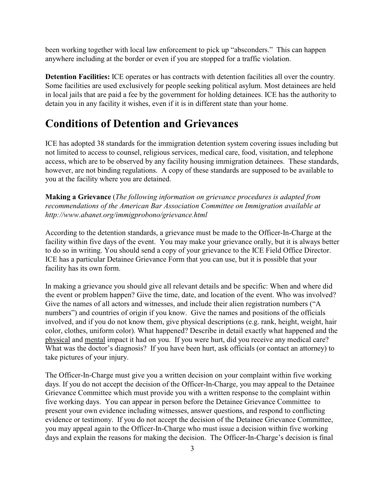been working together with local law enforcement to pick up "absconders." This can happen anywhere including at the border or even if you are stopped for a traffic violation.

**Detention Facilities:** ICE operates or has contracts with detention facilities all over the country. Some facilities are used exclusively for people seeking political asylum. Most detainees are held in local jails that are paid a fee by the government for holding detainees. ICE has the authority to detain you in any facility it wishes, even if it is in different state than your home.

## **Conditions of Detention and Grievances**

ICE has adopted 38 standards for the immigration detention system covering issues including but not limited to access to counsel, religious services, medical care, food, visitation, and telephone access, which are to be observed by any facility housing immigration detainees. These standards, however, are not binding regulations. A copy of these standards are supposed to be available to you at the facility where you are detained.

**Making a Grievance** (*The following information on grievance procedures is adapted from recommendations of the American Bar Association Committee on Immigration available at http://www.abanet.org/immigprobono/grievance.html*

According to the detention standards, a grievance must be made to the Officer-In-Charge at the facility within five days of the event. You may make your grievance orally, but it is always better to do so in writing. You should send a copy of your grievance to the ICE Field Office Director. ICE has a particular Detainee Grievance Form that you can use, but it is possible that your facility has its own form.

In making a grievance you should give all relevant details and be specific: When and where did the event or problem happen? Give the time, date, and location of the event. Who was involved? Give the names of all actors and witnesses, and include their alien registration numbers ("A numbers") and countries of origin if you know. Give the names and positions of the officials involved, and if you do not know them, give physical descriptions (e.g. rank, height, weight, hair color, clothes, uniform color). What happened? Describe in detail exactly what happened and the physical and mental impact it had on you. If you were hurt, did you receive any medical care? What was the doctor's diagnosis? If you have been hurt, ask officials (or contact an attorney) to take pictures of your injury.

The Officer-In-Charge must give you a written decision on your complaint within five working days. If you do not accept the decision of the Officer-In-Charge, you may appeal to the Detainee Grievance Committee which must provide you with a written response to the complaint within five working days. You can appear in person before the Detainee Grievance Committee to present your own evidence including witnesses, answer questions, and respond to conflicting evidence or testimony. If you do not accept the decision of the Detainee Grievance Committee, you may appeal again to the Officer-In-Charge who must issue a decision within five working days and explain the reasons for making the decision. The Officer-In-Charge's decision is final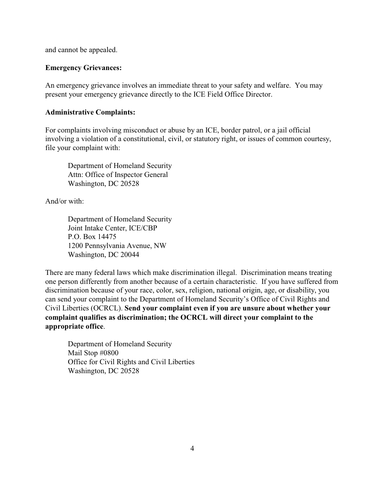and cannot be appealed.

#### **Emergency Grievances:**

An emergency grievance involves an immediate threat to your safety and welfare. You may present your emergency grievance directly to the ICE Field Office Director.

#### **Administrative Complaints:**

For complaints involving misconduct or abuse by an ICE, border patrol, or a jail official involving a violation of a constitutional, civil, or statutory right, or issues of common courtesy, file your complaint with:

Department of Homeland Security Attn: Office of Inspector General Washington, DC 20528

And/or with:

Department of Homeland Security Joint Intake Center, ICE/CBP P.O. Box 14475 1200 Pennsylvania Avenue, NW Washington, DC 20044

There are many federal laws which make discrimination illegal. Discrimination means treating one person differently from another because of a certain characteristic. If you have suffered from discrimination because of your race, color, sex, religion, national origin, age, or disability, you can send your complaint to the Department of Homeland Security's Office of Civil Rights and Civil Liberties (OCRCL). **Send your complaint even if you are unsure about whether your complaint qualifies as discrimination; the OCRCL will direct your complaint to the appropriate office**.

Department of Homeland Security Mail Stop #0800 Office for Civil Rights and Civil Liberties Washington, DC 20528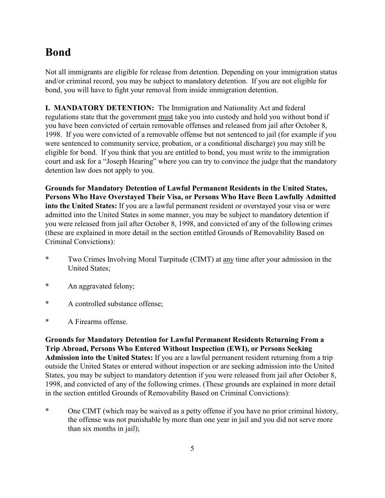# **Bond**

Not all immigrants are eligible for release from detention. Depending on your immigration status and/or criminal record, you may be subject to mandatory detention. If you are not eligible for bond, you will have to fight your removal from inside immigration detention.

**I. MANDATORY DETENTION:** The Immigration and Nationality Act and federal regulations state that the government must take you into custody and hold you without bond if you have been convicted of certain removable offenses and released from jail after October 8, 1998. If you were convicted of a removable offense but not sentenced to jail (for example if you were sentenced to community service, probation, or a conditional discharge) you may still be eligible for bond. If you think that you are entitled to bond, you must write to the immigration court and ask for a "Joseph Hearing" where you can try to convince the judge that the mandatory detention law does not apply to you.

**Grounds for Mandatory Detention of Lawful Permanent Residents in the United States, Persons Who Have Overstayed Their Visa, or Persons Who Have Been Lawfully Admitted into the United States:** If you are a lawful permanent resident or overstayed your visa or were admitted into the United States in some manner, you may be subject to mandatory detention if you were released from jail after October 8, 1998, and convicted of any of the following crimes (these are explained in more detail in the section entitled Grounds of Removability Based on Criminal Convictions):

- \* Two Crimes Involving Moral Turpitude (CIMT) at any time after your admission in the United States;
- \* An aggravated felony;
- \* A controlled substance offense;
- \* A Firearms offense.

**Grounds for Mandatory Detention for Lawful Permanent Residents Returning From a Trip Abroad, Persons Who Entered Without Inspection (EWI), or Persons Seeking Admission into the United States:** If you are a lawful permanent resident returning from a trip outside the United States or entered without inspection or are seeking admission into the United States, you may be subject to mandatory detention if you were released from jail after October 8, 1998, and convicted of any of the following crimes. (These grounds are explained in more detail in the section entitled Grounds of Removability Based on Criminal Convictions):

\* One CIMT (which may be waived as a petty offense if you have no prior criminal history, the offense was not punishable by more than one year in jail and you did not serve more than six months in jail);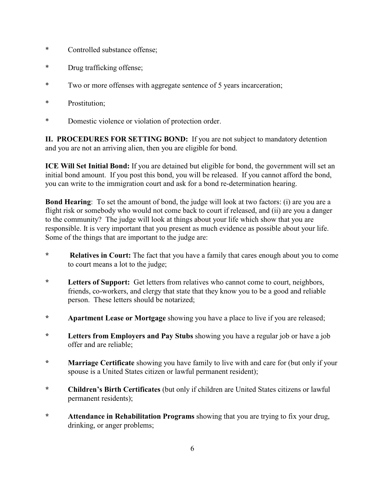- \* Controlled substance offense;
- \* Drug trafficking offense;
- \* Two or more offenses with aggregate sentence of 5 years incarceration;
- \* Prostitution;
- \* Domestic violence or violation of protection order.

**II. PROCEDURES FOR SETTING BOND:** If you are not subject to mandatory detention and you are not an arriving alien, then you are eligible for bond.

**ICE Will Set Initial Bond:** If you are detained but eligible for bond, the government will set an initial bond amount. If you post this bond, you will be released. If you cannot afford the bond, you can write to the immigration court and ask for a bond re-determination hearing.

**Bond Hearing**: To set the amount of bond, the judge will look at two factors: (i) are you are a flight risk or somebody who would not come back to court if released, and (ii) are you a danger to the community? The judge will look at things about your life which show that you are responsible. It is very important that you present as much evidence as possible about your life. Some of the things that are important to the judge are:

- **\* Relatives in Court:** The fact that you have a family that cares enough about you to come to court means a lot to the judge;
- **\* Letters of Support:** Get letters from relatives who cannot come to court, neighbors, friends, co-workers, and clergy that state that they know you to be a good and reliable person. These letters should be notarized;
- **\* Apartment Lease or Mortgage** showing you have a place to live if you are released;
- **\* Letters from Employers and Pay Stubs** showing you have a regular job or have a job offer and are reliable;
- **\* Marriage Certificate** showing you have family to live with and care for (but only if your spouse is a United States citizen or lawful permanent resident);
- **\* Children's Birth Certificates** (but only if children are United States citizens or lawful permanent residents);
- **\* Attendance in Rehabilitation Programs** showing that you are trying to fix your drug, drinking, or anger problems;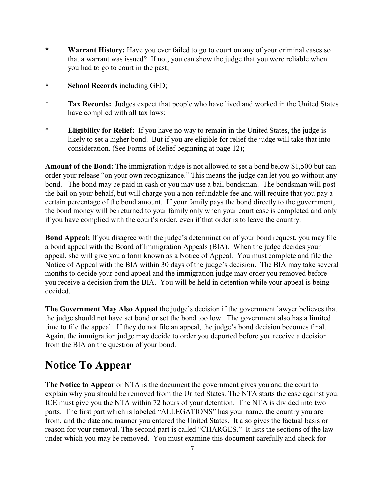- **\* Warrant History:** Have you ever failed to go to court on any of your criminal cases so that a warrant was issued? If not, you can show the judge that you were reliable when you had to go to court in the past;
- **\* School Records** including GED;
- \* **Tax Records:** Judges expect that people who have lived and worked in the United States have complied with all tax laws;
- \* **Eligibility for Relief:** If you have no way to remain in the United States, the judge is likely to set a higher bond. But if you are eligible for relief the judge will take that into consideration. (See Forms of Relief beginning at page 12);

**Amount of the Bond:** The immigration judge is not allowed to set a bond below \$1,500 but can order your release "on your own recognizance." This means the judge can let you go without any bond. The bond may be paid in cash or you may use a bail bondsman. The bondsman will post the bail on your behalf, but will charge you a non-refundable fee and will require that you pay a certain percentage of the bond amount. If your family pays the bond directly to the government, the bond money will be returned to your family only when your court case is completed and only if you have complied with the court's order, even if that order is to leave the country.

**Bond Appeal:** If you disagree with the judge's determination of your bond request, you may file a bond appeal with the Board of Immigration Appeals (BIA). When the judge decides your appeal, she will give you a form known as a Notice of Appeal. You must complete and file the Notice of Appeal with the BIA within 30 days of the judge's decision. The BIA may take several months to decide your bond appeal and the immigration judge may order you removed before you receive a decision from the BIA. You will be held in detention while your appeal is being decided.

**The Government May Also Appeal** the judge's decision if the government lawyer believes that the judge should not have set bond or set the bond too low. The government also has a limited time to file the appeal. If they do not file an appeal, the judge's bond decision becomes final. Again, the immigration judge may decide to order you deported before you receive a decision from the BIA on the question of your bond.

# **Notice To Appear**

**The Notice to Appear** or NTA is the document the government gives you and the court to explain why you should be removed from the United States. The NTA starts the case against you. ICE must give you the NTA within 72 hours of your detention. The NTA is divided into two parts. The first part which is labeled "ALLEGATIONS" has your name, the country you are from, and the date and manner you entered the United States. It also gives the factual basis or reason for your removal. The second part is called "CHARGES." It lists the sections of the law under which you may be removed. You must examine this document carefully and check for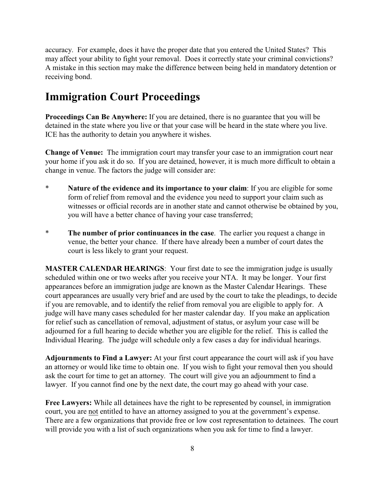accuracy. For example, does it have the proper date that you entered the United States? This may affect your ability to fight your removal. Does it correctly state your criminal convictions? A mistake in this section may make the difference between being held in mandatory detention or receiving bond.

## **Immigration Court Proceedings**

**Proceedings Can Be Anywhere:** If you are detained, there is no guarantee that you will be detained in the state where you live or that your case will be heard in the state where you live. ICE has the authority to detain you anywhere it wishes.

**Change of Venue:** The immigration court may transfer your case to an immigration court near your home if you ask it do so. If you are detained, however, it is much more difficult to obtain a change in venue. The factors the judge will consider are:

- \* **Nature of the evidence and its importance to your claim**: If you are eligible for some form of relief from removal and the evidence you need to support your claim such as witnesses or official records are in another state and cannot otherwise be obtained by you, you will have a better chance of having your case transferred;
- \* **The number of prior continuances in the case**. The earlier you request a change in venue, the better your chance. If there have already been a number of court dates the court is less likely to grant your request.

**MASTER CALENDAR HEARINGS**: Your first date to see the immigration judge is usually scheduled within one or two weeks after you receive your NTA. It may be longer. Your first appearances before an immigration judge are known as the Master Calendar Hearings. These court appearances are usually very brief and are used by the court to take the pleadings, to decide if you are removable, and to identify the relief from removal you are eligible to apply for. A judge will have many cases scheduled for her master calendar day. If you make an application for relief such as cancellation of removal, adjustment of status, or asylum your case will be adjourned for a full hearing to decide whether you are eligible for the relief. This is called the Individual Hearing. The judge will schedule only a few cases a day for individual hearings.

**Adjournments to Find a Lawyer:** At your first court appearance the court will ask if you have an attorney or would like time to obtain one. If you wish to fight your removal then you should ask the court for time to get an attorney. The court will give you an adjournment to find a lawyer. If you cannot find one by the next date, the court may go ahead with your case.

**Free Lawyers:** While all detainees have the right to be represented by counsel, in immigration court, you are not entitled to have an attorney assigned to you at the government's expense. There are a few organizations that provide free or low cost representation to detainees. The court will provide you with a list of such organizations when you ask for time to find a lawyer.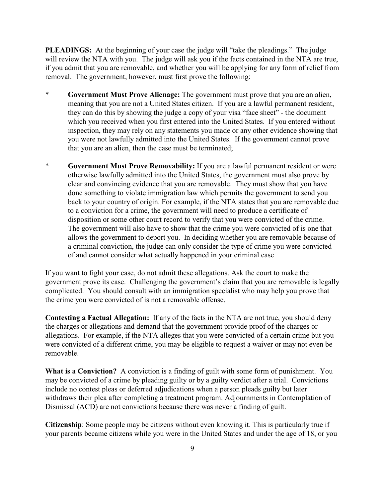**PLEADINGS:** At the beginning of your case the judge will "take the pleadings." The judge will review the NTA with you. The judge will ask you if the facts contained in the NTA are true, if you admit that you are removable, and whether you will be applying for any form of relief from removal. The government, however, must first prove the following:

- \* **Government Must Prove Alienage:** The government must prove that you are an alien, meaning that you are not a United States citizen. If you are a lawful permanent resident, they can do this by showing the judge a copy of your visa "face sheet" - the document which you received when you first entered into the United States. If you entered without inspection, they may rely on any statements you made or any other evidence showing that you were not lawfully admitted into the United States. If the government cannot prove that you are an alien, then the case must be terminated;
- \* **Government Must Prove Removability:** If you are a lawful permanent resident or were otherwise lawfully admitted into the United States, the government must also prove by clear and convincing evidence that you are removable. They must show that you have done something to violate immigration law which permits the government to send you back to your country of origin. For example, if the NTA states that you are removable due to a conviction for a crime, the government will need to produce a certificate of disposition or some other court record to verify that you were convicted of the crime. The government will also have to show that the crime you were convicted of is one that allows the government to deport you. In deciding whether you are removable because of a criminal conviction, the judge can only consider the type of crime you were convicted of and cannot consider what actually happened in your criminal case

If you want to fight your case, do not admit these allegations. Ask the court to make the government prove its case. Challenging the government's claim that you are removable is legally complicated. You should consult with an immigration specialist who may help you prove that the crime you were convicted of is not a removable offense.

**Contesting a Factual Allegation:** If any of the facts in the NTA are not true, you should deny the charges or allegations and demand that the government provide proof of the charges or allegations. For example, if the NTA alleges that you were convicted of a certain crime but you were convicted of a different crime, you may be eligible to request a waiver or may not even be removable.

**What is a Conviction?** A conviction is a finding of guilt with some form of punishment. You may be convicted of a crime by pleading guilty or by a guilty verdict after a trial. Convictions include no contest pleas or deferred adjudications when a person pleads guilty but later withdraws their plea after completing a treatment program. Adjournments in Contemplation of Dismissal (ACD) are not convictions because there was never a finding of guilt.

**Citizenship**: Some people may be citizens without even knowing it. This is particularly true if your parents became citizens while you were in the United States and under the age of 18, or you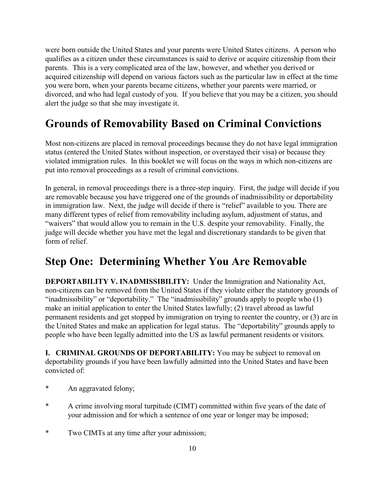were born outside the United States and your parents were United States citizens. A person who qualifies as a citizen under these circumstances is said to derive or acquire citizenship from their parents. This is a very complicated area of the law, however, and whether you derived or acquired citizenship will depend on various factors such as the particular law in effect at the time you were born, when your parents became citizens, whether your parents were married, or divorced, and who had legal custody of you. If you believe that you may be a citizen, you should alert the judge so that she may investigate it.

## **Grounds of Removability Based on Criminal Convictions**

Most non-citizens are placed in removal proceedings because they do not have legal immigration status (entered the United States without inspection, or overstayed their visa) or because they violated immigration rules. In this booklet we will focus on the ways in which non-citizens are put into removal proceedings as a result of criminal convictions.

In general, in removal proceedings there is a three-step inquiry. First, the judge will decide if you are removable because you have triggered one of the grounds of inadmissibility or deportability in immigration law. Next, the judge will decide if there is "relief" available to you. There are many different types of relief from removability including asylum, adjustment of status, and "waivers" that would allow you to remain in the U.S. despite your removability. Finally, the judge will decide whether you have met the legal and discretionary standards to be given that form of relief.

## **Step One: Determining Whether You Are Removable**

**DEPORTABILITY V. INADMISSIBILITY:** Under the Immigration and Nationality Act, non-citizens can be removed from the United States if they violate either the statutory grounds of "inadmissibility" or "deportability." The "inadmissibility" grounds apply to people who (1) make an initial application to enter the United States lawfully; (2) travel abroad as lawful permanent residents and get stopped by immigration on trying to reenter the country, or (3) are in the United States and make an application for legal status. The "deportability" grounds apply to people who have been legally admitted into the US as lawful permanent residents or visitors.

**I. CRIMINAL GROUNDS OF DEPORTABILITY:** You may be subject to removal on deportability grounds if you have been lawfully admitted into the United States and have been convicted of:

- An aggravated felony;
- \* A crime involving moral turpitude (CIMT) committed within five years of the date of your admission and for which a sentence of one year or longer may be imposed;
- \* Two CIMTs at any time after your admission;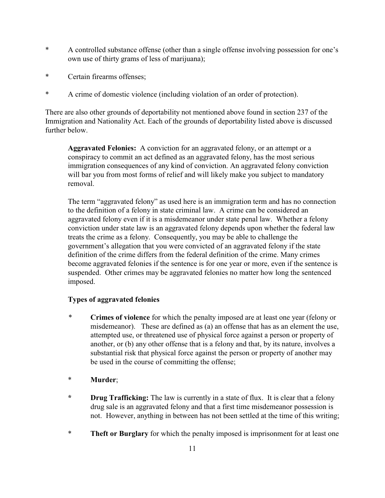- \* A controlled substance offense (other than a single offense involving possession for one's own use of thirty grams of less of marijuana);
- \* Certain firearms offenses;
- \* A crime of domestic violence (including violation of an order of protection).

There are also other grounds of deportability not mentioned above found in section 237 of the Immigration and Nationality Act. Each of the grounds of deportability listed above is discussed further below.

**Aggravated Felonies:** A conviction for an aggravated felony, or an attempt or a conspiracy to commit an act defined as an aggravated felony, has the most serious immigration consequences of any kind of conviction. An aggravated felony conviction will bar you from most forms of relief and will likely make you subject to mandatory removal.

The term "aggravated felony" as used here is an immigration term and has no connection to the definition of a felony in state criminal law. A crime can be considered an aggravated felony even if it is a misdemeanor under state penal law. Whether a felony conviction under state law is an aggravated felony depends upon whether the federal law treats the crime as a felony. Consequently, you may be able to challenge the government's allegation that you were convicted of an aggravated felony if the state definition of the crime differs from the federal definition of the crime. Many crimes become aggravated felonies if the sentence is for one year or more, even if the sentence is suspended. Other crimes may be aggravated felonies no matter how long the sentenced imposed.

#### **Types of aggravated felonies**

*\** **Crimes of violence** for which the penalty imposed are at least one year (felony or misdemeanor). These are defined as (a) an offense that has as an element the use, attempted use, or threatened use of physical force against a person or property of another, or (b) any other offense that is a felony and that, by its nature, involves a substantial risk that physical force against the person or property of another may be used in the course of committing the offense;

#### \* **Murder**;

- **\* Drug Trafficking:** The law is currently in a state of flux. It is clear that a felony drug sale is an aggravated felony and that a first time misdemeanor possession is not. However, anything in between has not been settled at the time of this writing;
- \* **Theft or Burglary** for which the penalty imposed is imprisonment for at least one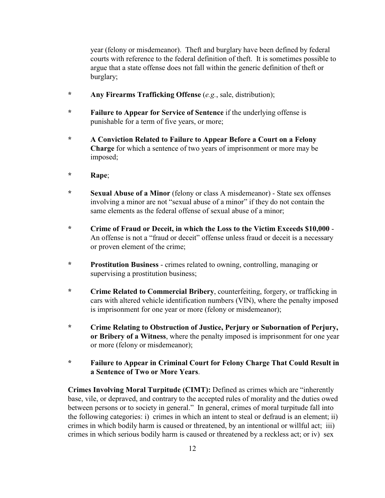year (felony or misdemeanor). Theft and burglary have been defined by federal courts with reference to the federal definition of theft. It is sometimes possible to argue that a state offense does not fall within the generic definition of theft or burglary;

- **\* Any Firearms Trafficking Offense** (*e.g.*, sale, distribution);
- **\* Failure to Appear for Service of Sentence** if the underlying offense is punishable for a term of five years, or more;
- **\* A Conviction Related to Failure to Appear Before a Court on a Felony Charge** for which a sentence of two years of imprisonment or more may be imposed;
- **\* Rape**;
- **\* Sexual Abuse of a Minor** (felony or class A misdemeanor) State sex offenses involving a minor are not "sexual abuse of a minor" if they do not contain the same elements as the federal offense of sexual abuse of a minor;
- **\* Crime of Fraud or Deceit, in which the Loss to the Victim Exceeds \$10,000** An offense is not a "fraud or deceit" offense unless fraud or deceit is a necessary or proven element of the crime;
- **\* Prostitution Business** crimes related to owning, controlling, managing or supervising a prostitution business;
- **\* Crime Related to Commercial Bribery**, counterfeiting, forgery, or trafficking in cars with altered vehicle identification numbers (VIN), where the penalty imposed is imprisonment for one year or more (felony or misdemeanor);
- **\* Crime Relating to Obstruction of Justice, Perjury or Subornation of Perjury, or Bribery of a Witness**, where the penalty imposed is imprisonment for one year or more (felony or misdemeanor);
- **\* Failure to Appear in Criminal Court for Felony Charge That Could Result in a Sentence of Two or More Years**.

**Crimes Involving Moral Turpitude (CIMT):** Defined as crimes which are "inherently base, vile, or depraved, and contrary to the accepted rules of morality and the duties owed between persons or to society in general." In general, crimes of moral turpitude fall into the following categories: i) crimes in which an intent to steal or defraud is an element; ii) crimes in which bodily harm is caused or threatened, by an intentional or willful act; iii) crimes in which serious bodily harm is caused or threatened by a reckless act; or iv) sex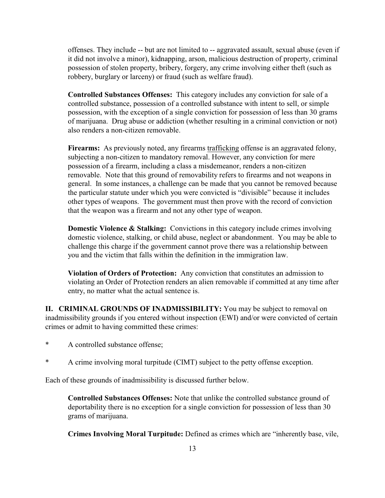offenses. They include -- but are not limited to -- aggravated assault, sexual abuse (even if it did not involve a minor), kidnapping, arson, malicious destruction of property, criminal possession of stolen property, bribery, forgery, any crime involving either theft (such as robbery, burglary or larceny) or fraud (such as welfare fraud).

**Controlled Substances Offenses:** This category includes any conviction for sale of a controlled substance, possession of a controlled substance with intent to sell, or simple possession, with the exception of a single conviction for possession of less than 30 grams of marijuana. Drug abuse or addiction (whether resulting in a criminal conviction or not) also renders a non-citizen removable.

**Firearms:** As previously noted, any firearms trafficking offense is an aggravated felony, subjecting a non-citizen to mandatory removal. However, any conviction for mere possession of a firearm, including a class a misdemeanor, renders a non-citizen removable. Note that this ground of removability refers to firearms and not weapons in general. In some instances, a challenge can be made that you cannot be removed because the particular statute under which you were convicted is "divisible" because it includes other types of weapons. The government must then prove with the record of conviction that the weapon was a firearm and not any other type of weapon.

**Domestic Violence & Stalking:** Convictions in this category include crimes involving domestic violence, stalking, or child abuse, neglect or abandonment. You may be able to challenge this charge if the government cannot prove there was a relationship between you and the victim that falls within the definition in the immigration law.

**Violation of Orders of Protection:** Any conviction that constitutes an admission to violating an Order of Protection renders an alien removable if committed at any time after entry, no matter what the actual sentence is.

**II. CRIMINAL GROUNDS OF INADMISSIBILITY:** You may be subject to removal on inadmissibility grounds if you entered without inspection (EWI) and/or were convicted of certain crimes or admit to having committed these crimes:

- \* A controlled substance offense;
- \* A crime involving moral turpitude (CIMT) subject to the petty offense exception.

Each of these grounds of inadmissibility is discussed further below.

**Controlled Substances Offenses:** Note that unlike the controlled substance ground of deportability there is no exception for a single conviction for possession of less than 30 grams of marijuana.

**Crimes Involving Moral Turpitude:** Defined as crimes which are "inherently base, vile,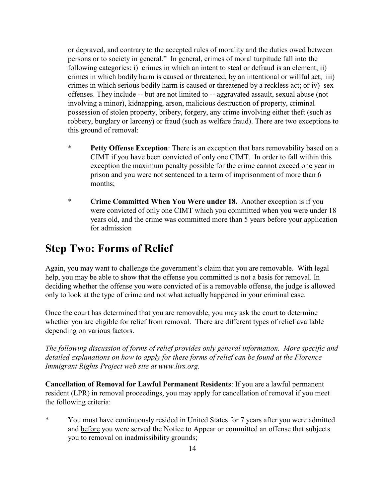or depraved, and contrary to the accepted rules of morality and the duties owed between persons or to society in general." In general, crimes of moral turpitude fall into the following categories: i) crimes in which an intent to steal or defraud is an element; ii) crimes in which bodily harm is caused or threatened, by an intentional or willful act; iii) crimes in which serious bodily harm is caused or threatened by a reckless act; or iv) sex offenses. They include -- but are not limited to -- aggravated assault, sexual abuse (not involving a minor), kidnapping, arson, malicious destruction of property, criminal possession of stolen property, bribery, forgery, any crime involving either theft (such as robbery, burglary or larceny) or fraud (such as welfare fraud). There are two exceptions to this ground of removal:

- \* **Petty Offense Exception**: There is an exception that bars removability based on a CIMT if you have been convicted of only one CIMT. In order to fall within this exception the maximum penalty possible for the crime cannot exceed one year in prison and you were not sentenced to a term of imprisonment of more than 6 months;
- \* **Crime Committed When You Were under 18.** Another exception is if you were convicted of only one CIMT which you committed when you were under 18 years old, and the crime was committed more than 5 years before your application for admission

## **Step Two: Forms of Relief**

Again, you may want to challenge the government's claim that you are removable. With legal help, you may be able to show that the offense you committed is not a basis for removal. In deciding whether the offense you were convicted of is a removable offense, the judge is allowed only to look at the type of crime and not what actually happened in your criminal case.

Once the court has determined that you are removable, you may ask the court to determine whether you are eligible for relief from removal. There are different types of relief available depending on various factors.

*The following discussion of forms of relief provides only general information. More specific and detailed explanations on how to apply for these forms of relief can be found at the Florence Immigrant Rights Project web site at www.lirs.org.* 

**Cancellation of Removal for Lawful Permanent Residents**: If you are a lawful permanent resident (LPR) in removal proceedings, you may apply for cancellation of removal if you meet the following criteria:

\* You must have continuously resided in United States for 7 years after you were admitted and before you were served the Notice to Appear or committed an offense that subjects you to removal on inadmissibility grounds;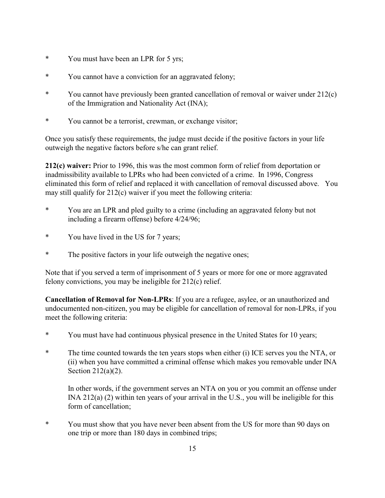- \* You must have been an LPR for 5 yrs;
- \* You cannot have a conviction for an aggravated felony;
- \* You cannot have previously been granted cancellation of removal or waiver under 212(c) of the Immigration and Nationality Act (INA);
- \* You cannot be a terrorist, crewman, or exchange visitor;

Once you satisfy these requirements, the judge must decide if the positive factors in your life outweigh the negative factors before s/he can grant relief.

**212(c) waiver:** Prior to 1996, this was the most common form of relief from deportation or inadmissibility available to LPRs who had been convicted of a crime. In 1996, Congress eliminated this form of relief and replaced it with cancellation of removal discussed above. You may still qualify for 212(c) waiver if you meet the following criteria:

- \* You are an LPR and pled guilty to a crime (including an aggravated felony but not including a firearm offense) before 4/24/96;
- \* You have lived in the US for 7 years;
- \* The positive factors in your life outweigh the negative ones;

Note that if you served a term of imprisonment of 5 years or more for one or more aggravated felony convictions, you may be ineligible for 212(c) relief.

**Cancellation of Removal for Non-LPRs**: If you are a refugee, asylee, or an unauthorized and undocumented non-citizen, you may be eligible for cancellation of removal for non-LPRs, if you meet the following criteria:

- You must have had continuous physical presence in the United States for 10 years;
- \* The time counted towards the ten years stops when either (i) ICE serves you the NTA, or (ii) when you have committed a criminal offense which makes you removable under INA Section 212(a)(2).

In other words, if the government serves an NTA on you or you commit an offense under INA 212(a) (2) within ten years of your arrival in the U.S., you will be ineligible for this form of cancellation;

\* You must show that you have never been absent from the US for more than 90 days on one trip or more than 180 days in combined trips;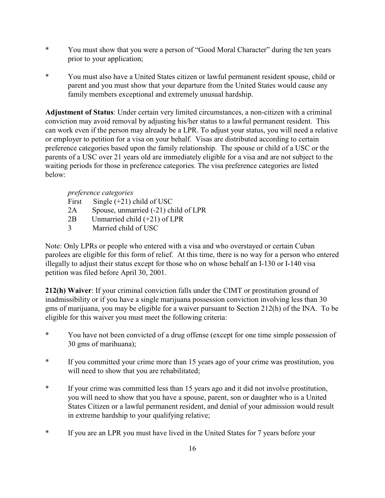- \* You must show that you were a person of "Good Moral Character" during the ten years prior to your application;
- \* You must also have a United States citizen or lawful permanent resident spouse, child or parent and you must show that your departure from the United States would cause any family members exceptional and extremely unusual hardship.

**Adjustment of Status**: Under certain very limited circumstances, a non-citizen with a criminal conviction may avoid removal by adjusting his/her status to a lawful permanent resident. This can work even if the person may already be a LPR. To adjust your status, you will need a relative or employer to petition for a visa on your behalf. Visas are distributed according to certain preference categories based upon the family relationship. The spouse or child of a USC or the parents of a USC over 21 years old are immediately eligible for a visa and are not subject to the waiting periods for those in preference categories. The visa preference categories are listed below:

#### *preference categories*

First Single  $(+21)$  child of USC 2A Spouse, unmarried (-21) child of LPR 2B Unmarried child (+21) of LPR 3 Married child of USC

Note: Only LPRs or people who entered with a visa and who overstayed or certain Cuban parolees are eligible for this form of relief. At this time, there is no way for a person who entered illegally to adjust their status except for those who on whose behalf an I-130 or I-140 visa petition was filed before April 30, 2001.

**212(h) Waiver**: If your criminal conviction falls under the CIMT or prostitution ground of inadmissibility or if you have a single marijuana possession conviction involving less than 30 gms of marijuana, you may be eligible for a waiver pursuant to Section 212(h) of the INA. To be eligible for this waiver you must meet the following criteria:

- You have not been convicted of a drug offense (except for one time simple possession of 30 gms of marihuana);
- \* If you committed your crime more than 15 years ago of your crime was prostitution, you will need to show that you are rehabilitated;
- \* If your crime was committed less than 15 years ago and it did not involve prostitution, you will need to show that you have a spouse, parent, son or daughter who is a United States Citizen or a lawful permanent resident, and denial of your admission would result in extreme hardship to your qualifying relative;
- \* If you are an LPR you must have lived in the United States for 7 years before your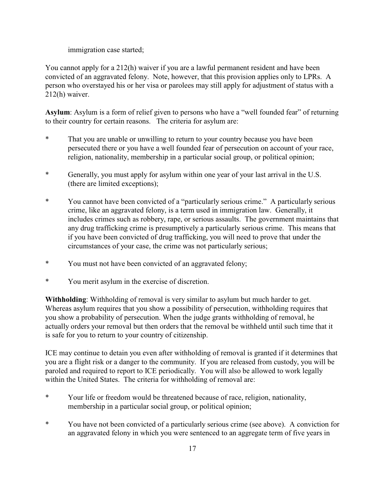immigration case started;

You cannot apply for a 212(h) waiver if you are a lawful permanent resident and have been convicted of an aggravated felony. Note, however, that this provision applies only to LPRs. A person who overstayed his or her visa or parolees may still apply for adjustment of status with a 212(h) waiver.

**Asylum**: Asylum is a form of relief given to persons who have a "well founded fear" of returning to their country for certain reasons. The criteria for asylum are:

- \* That you are unable or unwilling to return to your country because you have been persecuted there or you have a well founded fear of persecution on account of your race, religion, nationality, membership in a particular social group, or political opinion;
- \* Generally, you must apply for asylum within one year of your last arrival in the U.S. (there are limited exceptions);
- \* You cannot have been convicted of a "particularly serious crime." A particularly serious crime, like an aggravated felony, is a term used in immigration law. Generally, it includes crimes such as robbery, rape, or serious assaults. The government maintains that any drug trafficking crime is presumptively a particularly serious crime. This means that if you have been convicted of drug trafficking, you will need to prove that under the circumstances of your case, the crime was not particularly serious;
- \* You must not have been convicted of an aggravated felony;
- \* You merit asylum in the exercise of discretion.

**Withholding**: Withholding of removal is very similar to asylum but much harder to get. Whereas asylum requires that you show a possibility of persecution, withholding requires that you show a probability of persecution. When the judge grants withholding of removal, he actually orders your removal but then orders that the removal be withheld until such time that it is safe for you to return to your country of citizenship.

ICE may continue to detain you even after withholding of removal is granted if it determines that you are a flight risk or a danger to the community. If you are released from custody, you will be paroled and required to report to ICE periodically. You will also be allowed to work legally within the United States. The criteria for withholding of removal are:

- \* Your life or freedom would be threatened because of race, religion, nationality, membership in a particular social group, or political opinion;
- \* You have not been convicted of a particularly serious crime (see above). A conviction for an aggravated felony in which you were sentenced to an aggregate term of five years in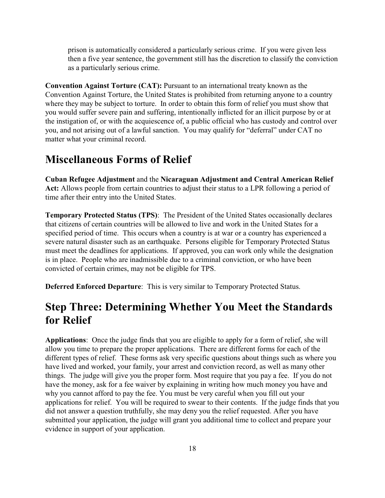prison is automatically considered a particularly serious crime. If you were given less then a five year sentence, the government still has the discretion to classify the conviction as a particularly serious crime.

**Convention Against Torture (CAT):** Pursuant to an international treaty known as the Convention Against Torture, the United States is prohibited from returning anyone to a country where they may be subject to torture. In order to obtain this form of relief you must show that you would suffer severe pain and suffering, intentionally inflicted for an illicit purpose by or at the instigation of, or with the acquiescence of, a public official who has custody and control over you, and not arising out of a lawful sanction. You may qualify for "deferral" under CAT no matter what your criminal record.

### **Miscellaneous Forms of Relief**

**Cuban Refugee Adjustment** and the **Nicaraguan Adjustment and Central American Relief Act:** Allows people from certain countries to adjust their status to a LPR following a period of time after their entry into the United States.

**Temporary Protected Status (TPS)**: The President of the United States occasionally declares that citizens of certain countries will be allowed to live and work in the United States for a specified period of time. This occurs when a country is at war or a country has experienced a severe natural disaster such as an earthquake. Persons eligible for Temporary Protected Status must meet the deadlines for applications. If approved, you can work only while the designation is in place. People who are inadmissible due to a criminal conviction, or who have been convicted of certain crimes, may not be eligible for TPS.

**Deferred Enforced Departure**: This is very similar to Temporary Protected Status.

## **Step Three: Determining Whether You Meet the Standards for Relief**

**Applications**: Once the judge finds that you are eligible to apply for a form of relief, she will allow you time to prepare the proper applications. There are different forms for each of the different types of relief. These forms ask very specific questions about things such as where you have lived and worked, your family, your arrest and conviction record, as well as many other things. The judge will give you the proper form. Most require that you pay a fee. If you do not have the money, ask for a fee waiver by explaining in writing how much money you have and why you cannot afford to pay the fee. You must be very careful when you fill out your applications for relief. You will be required to swear to their contents. If the judge finds that you did not answer a question truthfully, she may deny you the relief requested. After you have submitted your application, the judge will grant you additional time to collect and prepare your evidence in support of your application.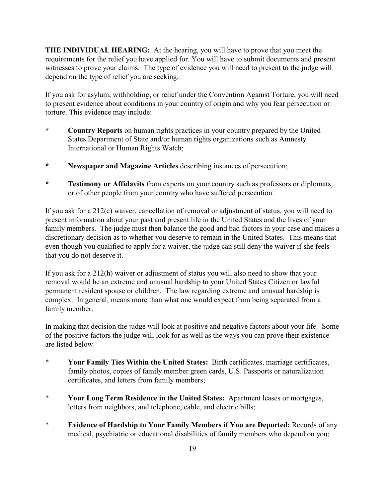**THE INDIVIDUAL HEARING:** At the hearing, you will have to prove that you meet the requirements for the relief you have applied for. You will have to submit documents and present witnesses to prove your claims. The type of evidence you will need to present to the judge will depend on the type of relief you are seeking.

If you ask for asylum, withholding, or relief under the Convention Against Torture, you will need to present evidence about conditions in your country of origin and why you fear persecution or torture. This evidence may include:

- **\* Country Reports** on human rights practices in your country prepared by the United States Department of State and/or human rights organizations such as Amnesty International or Human Rights Watch;
- **\* Newspaper and Magazine Articles** describing instances of persecution;
- **\* Testimony or Affidavits** from experts on your country such as professors or diplomats, or of other people from your country who have suffered persecution.

If you ask for a 212(c) waiver, cancellation of removal or adjustment of status, you will need to present information about your past and present life in the United States and the lives of your family members. The judge must then balance the good and bad factors in your case and makes a discretionary decision as to whether you deserve to remain in the United States. This means that even though you qualified to apply for a waiver, the judge can still deny the waiver if she feels that you do not deserve it.

If you ask for a 212(h) waiver or adjustment of status you will also need to show that your removal would be an extreme and unusual hardship to your United States Citizen or lawful permanent resident spouse or children. The law regarding extreme and unusual hardship is complex. In general, means more than what one would expect from being separated from a family member.

In making that decision the judge will look at positive and negative factors about your life. Some of the positive factors the judge will look for as well as the ways you can prove their existence are listed below.

- \* **Your Family Ties Within the United States:** Birth certificates, marriage certificates, family photos, copies of family member green cards, U.S. Passports or naturalization certificates, and letters from family members;
- \* **Your Long Term Residence in the United States:** Apartment leases or mortgages, letters from neighbors, and telephone, cable, and electric bills;
- \* **Evidence of Hardship to Your Family Members if You are Deported:** Records of any medical, psychiatric or educational disabilities of family members who depend on you;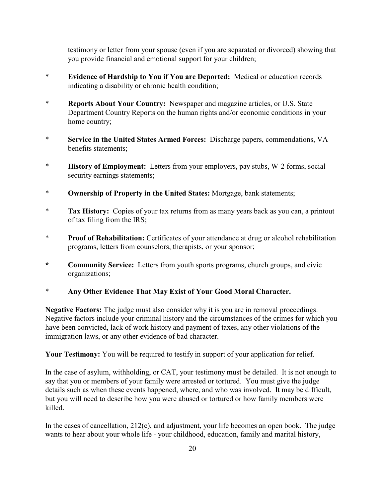testimony or letter from your spouse (even if you are separated or divorced) showing that you provide financial and emotional support for your children;

- \* **Evidence of Hardship to You if You are Deported:** Medical or education records indicating a disability or chronic health condition;
- \* **Reports About Your Country:** Newspaper and magazine articles, or U.S. State Department Country Reports on the human rights and/or economic conditions in your home country;
- \* **Service in the United States Armed Forces:** Discharge papers, commendations, VA benefits statements;
- \* **History of Employment:** Letters from your employers, pay stubs, W-2 forms, social security earnings statements;
- \* **Ownership of Property in the United States:** Mortgage, bank statements;
- \* **Tax History:** Copies of your tax returns from as many years back as you can, a printout of tax filing from the IRS;
- \* **Proof of Rehabilitation:** Certificates of your attendance at drug or alcohol rehabilitation programs, letters from counselors, therapists, or your sponsor;
- **\* Community Service:** Letters from youth sports programs, church groups, and civic organizations;

#### \* **Any Other Evidence That May Exist of Your Good Moral Character.**

**Negative Factors:** The judge must also consider why it is you are in removal proceedings. Negative factors include your criminal history and the circumstances of the crimes for which you have been convicted, lack of work history and payment of taxes, any other violations of the immigration laws, or any other evidence of bad character.

**Your Testimony:** You will be required to testify in support of your application for relief.

In the case of asylum, withholding, or CAT, your testimony must be detailed. It is not enough to say that you or members of your family were arrested or tortured. You must give the judge details such as when these events happened, where, and who was involved. It may be difficult, but you will need to describe how you were abused or tortured or how family members were killed.

In the cases of cancellation, 212(c), and adjustment, your life becomes an open book. The judge wants to hear about your whole life - your childhood, education, family and marital history,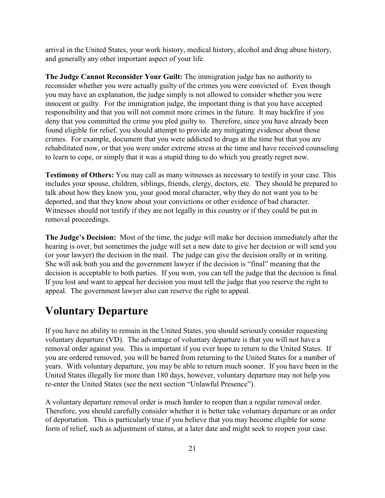arrival in the United States, your work history, medical history, alcohol and drug abuse history, and generally any other important aspect of your life.

**The Judge Cannot Reconsider Your Guilt:** The immigration judge has no authority to reconsider whether you were actually guilty of the crimes you were convicted of. Even though you may have an explanation, the judge simply is not allowed to consider whether you were innocent or guilty. For the immigration judge, the important thing is that you have accepted responsibility and that you will not commit more crimes in the future. It may backfire if you deny that you committed the crime you pled guilty to. Therefore, since you have already been found eligible for relief, you should attempt to provide any mitigating evidence about those crimes. For example, document that you were addicted to drugs at the time but that you are rehabilitated now, or that you were under extreme stress at the time and have received counseling to learn to cope, or simply that it was a stupid thing to do which you greatly regret now.

**Testimony of Others:** You may call as many witnesses as necessary to testify in your case. This includes your spouse, children, siblings, friends, clergy, doctors, etc. They should be prepared to talk about how they know you, your good moral character, why they do not want you to be deported, and that they know about your convictions or other evidence of bad character. Witnesses should not testify if they are not legally in this country or if they could be put in removal proceedings.

**The Judge's Decision:** Most of the time, the judge will make her decision immediately after the hearing is over, but sometimes the judge will set a new date to give her decision or will send you (or your lawyer) the decision in the mail. The judge can give the decision orally or in writing. She will ask both you and the government lawyer if the decision is "final" meaning that the decision is acceptable to both parties. If you won, you can tell the judge that the decision is final. If you lost and want to appeal her decision you must tell the judge that you reserve the right to appeal. The government lawyer also can reserve the right to appeal.

## **Voluntary Departure**

If you have no ability to remain in the United States, you should seriously consider requesting voluntary departure (VD). The advantage of voluntary departure is that you will not have a removal order against you. This is important if you ever hope to return to the United States. If you are ordered removed, you will be barred from returning to the United States for a number of years. With voluntary departure, you may be able to return much sooner. If you have been in the United States illegally for more than 180 days, however, voluntary departure may not help you re-enter the United States (see the next section "Unlawful Presence").

A voluntary departure removal order is much harder to reopen than a regular removal order. Therefore, you should carefully consider whether it is better take voluntary departure or an order of deportation. This is particularly true if you believe that you may become eligible for some form of relief, such as adjustment of status, at a later date and might seek to reopen your case.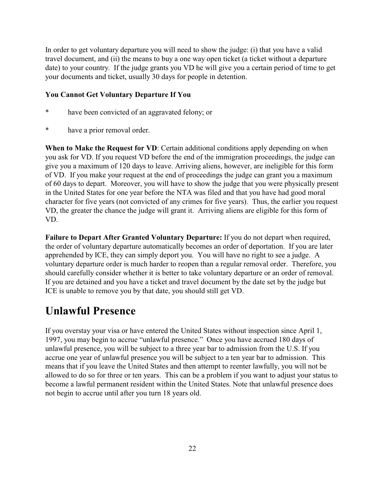In order to get voluntary departure you will need to show the judge: (i) that you have a valid travel document, and (ii) the means to buy a one way open ticket (a ticket without a departure date) to your country. If the judge grants you VD he will give you a certain period of time to get your documents and ticket, usually 30 days for people in detention.

#### **You Cannot Get Voluntary Departure If You**

- have been convicted of an aggravated felony; or
- have a prior removal order.

**When to Make the Request for VD**: Certain additional conditions apply depending on when you ask for VD. If you request VD before the end of the immigration proceedings, the judge can give you a maximum of 120 days to leave. Arriving aliens, however, are ineligible for this form of VD. If you make your request at the end of proceedings the judge can grant you a maximum of 60 days to depart. Moreover, you will have to show the judge that you were physically present in the United States for one year before the NTA was filed and that you have had good moral character for five years (not convicted of any crimes for five years). Thus, the earlier you request VD, the greater the chance the judge will grant it. Arriving aliens are eligible for this form of VD.

**Failure to Depart After Granted Voluntary Departure:** If you do not depart when required, the order of voluntary departure automatically becomes an order of deportation. If you are later apprehended by ICE, they can simply deport you. You will have no right to see a judge. A voluntary departure order is much harder to reopen than a regular removal order. Therefore, you should carefully consider whether it is better to take voluntary departure or an order of removal. If you are detained and you have a ticket and travel document by the date set by the judge but ICE is unable to remove you by that date, you should still get VD.

## **Unlawful Presence**

If you overstay your visa or have entered the United States without inspection since April 1, 1997, you may begin to accrue "unlawful presence." Once you have accrued 180 days of unlawful presence, you will be subject to a three year bar to admission from the U.S. If you accrue one year of unlawful presence you will be subject to a ten year bar to admission. This means that if you leave the United States and then attempt to reenter lawfully, you will not be allowed to do so for three or ten years. This can be a problem if you want to adjust your status to become a lawful permanent resident within the United States. Note that unlawful presence does not begin to accrue until after you turn 18 years old.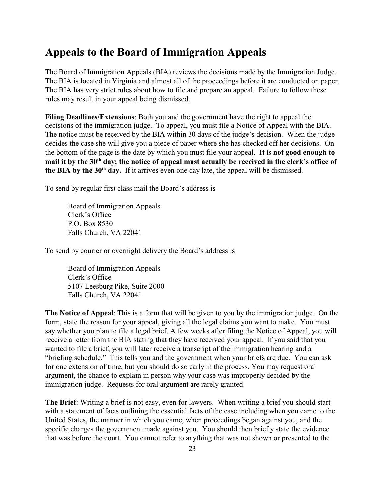## **Appeals to the Board of Immigration Appeals**

The Board of Immigration Appeals (BIA) reviews the decisions made by the Immigration Judge. The BIA is located in Virginia and almost all of the proceedings before it are conducted on paper. The BIA has very strict rules about how to file and prepare an appeal. Failure to follow these rules may result in your appeal being dismissed.

**Filing Deadlines/Extensions**: Both you and the government have the right to appeal the decisions of the immigration judge. To appeal, you must file a Notice of Appeal with the BIA. The notice must be received by the BIA within 30 days of the judge's decision. When the judge decides the case she will give you a piece of paper where she has checked off her decisions. On the bottom of the page is the date by which you must file your appeal. **It is not good enough to** mail it by the 30<sup>th</sup> day; the notice of appeal must actually be received in the clerk's office of **the BIA by the**  $30<sup>th</sup>$  **day.** If it arrives even one day late, the appeal will be dismissed.

To send by regular first class mail the Board's address is

Board of Immigration Appeals Clerk's Office P.O. Box 8530 Falls Church, VA 22041

To send by courier or overnight delivery the Board's address is

Board of Immigration Appeals Clerk's Office 5107 Leesburg Pike, Suite 2000 Falls Church, VA 22041

**The Notice of Appeal**: This is a form that will be given to you by the immigration judge. On the form, state the reason for your appeal, giving all the legal claims you want to make. You must say whether you plan to file a legal brief. A few weeks after filing the Notice of Appeal, you will receive a letter from the BIA stating that they have received your appeal. If you said that you wanted to file a brief, you will later receive a transcript of the immigration hearing and a "briefing schedule." This tells you and the government when your briefs are due. You can ask for one extension of time, but you should do so early in the process. You may request oral argument, the chance to explain in person why your case was improperly decided by the immigration judge. Requests for oral argument are rarely granted.

**The Brief**: Writing a brief is not easy, even for lawyers. When writing a brief you should start with a statement of facts outlining the essential facts of the case including when you came to the United States, the manner in which you came, when proceedings began against you, and the specific charges the government made against you. You should then briefly state the evidence that was before the court. You cannot refer to anything that was not shown or presented to the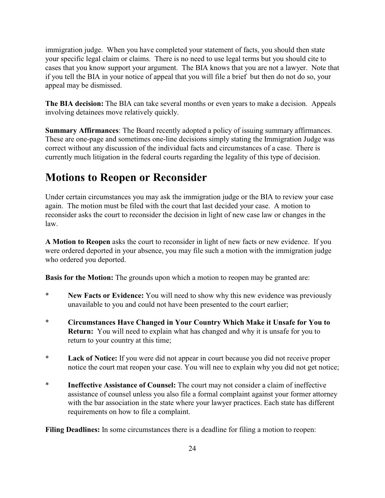immigration judge. When you have completed your statement of facts, you should then state your specific legal claim or claims. There is no need to use legal terms but you should cite to cases that you know support your argument. The BIA knows that you are not a lawyer. Note that if you tell the BIA in your notice of appeal that you will file a brief but then do not do so, your appeal may be dismissed.

**The BIA decision:** The BIA can take several months or even years to make a decision. Appeals involving detainees move relatively quickly.

**Summary Affirmances**: The Board recently adopted a policy of issuing summary affirmances. These are one-page and sometimes one-line decisions simply stating the Immigration Judge was correct without any discussion of the individual facts and circumstances of a case. There is currently much litigation in the federal courts regarding the legality of this type of decision.

## **Motions to Reopen or Reconsider**

Under certain circumstances you may ask the immigration judge or the BIA to review your case again. The motion must be filed with the court that last decided your case. A motion to reconsider asks the court to reconsider the decision in light of new case law or changes in the law.

**A Motion to Reopen** asks the court to reconsider in light of new facts or new evidence. If you were ordered deported in your absence, you may file such a motion with the immigration judge who ordered you deported.

**Basis for the Motion:** The grounds upon which a motion to reopen may be granted are:

- \* **New Facts or Evidence:** You will need to show why this new evidence was previously unavailable to you and could not have been presented to the court earlier;
- \* **Circumstances Have Changed in Your Country Which Make it Unsafe for You to Return:** You will need to explain what has changed and why it is unsafe for you to return to your country at this time;
- **\* Lack of Notice:** If you were did not appear in court because you did not receive proper notice the court mat reopen your case. You will nee to explain why you did not get notice;
- \* **Ineffective Assistance of Counsel:** The court may not consider a claim of ineffective assistance of counsel unless you also file a formal complaint against your former attorney with the bar association in the state where your lawyer practices. Each state has different requirements on how to file a complaint.

**Filing Deadlines:** In some circumstances there is a deadline for filing a motion to reopen: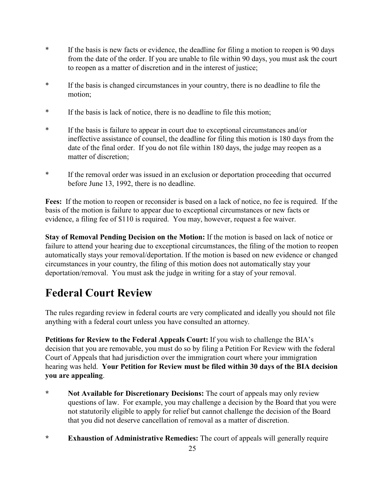- \* If the basis is new facts or evidence, the deadline for filing a motion to reopen is 90 days from the date of the order. If you are unable to file within 90 days, you must ask the court to reopen as a matter of discretion and in the interest of justice;
- \* If the basis is changed circumstances in your country, there is no deadline to file the motion;
- \* If the basis is lack of notice, there is no deadline to file this motion;
- \* If the basis is failure to appear in court due to exceptional circumstances and/or ineffective assistance of counsel, the deadline for filing this motion is 180 days from the date of the final order. If you do not file within 180 days, the judge may reopen as a matter of discretion;
- \* If the removal order was issued in an exclusion or deportation proceeding that occurred before June 13, 1992, there is no deadline.

**Fees:** If the motion to reopen or reconsider is based on a lack of notice, no fee is required. If the basis of the motion is failure to appear due to exceptional circumstances or new facts or evidence, a filing fee of \$110 is required. You may, however, request a fee waiver.

**Stay of Removal Pending Decision on the Motion:** If the motion is based on lack of notice or failure to attend your hearing due to exceptional circumstances, the filing of the motion to reopen automatically stays your removal/deportation. If the motion is based on new evidence or changed circumstances in your country, the filing of this motion does not automatically stay your deportation/removal. You must ask the judge in writing for a stay of your removal.

# **Federal Court Review**

The rules regarding review in federal courts are very complicated and ideally you should not file anything with a federal court unless you have consulted an attorney.

**Petitions for Review to the Federal Appeals Court:** If you wish to challenge the BIA's decision that you are removable, you must do so by filing a Petition For Review with the federal Court of Appeals that had jurisdiction over the immigration court where your immigration hearing was held. **Your Petition for Review must be filed within 30 days of the BIA decision you are appealing**.

- **\* Not Available for Discretionary Decisions:** The court of appeals may only review questions of law. For example, you may challenge a decision by the Board that you were not statutorily eligible to apply for relief but cannot challenge the decision of the Board that you did not deserve cancellation of removal as a matter of discretion.
- **\* Exhaustion of Administrative Remedies:** The court of appeals will generally require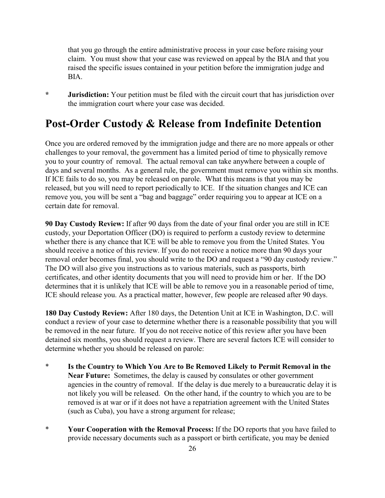that you go through the entire administrative process in your case before raising your claim. You must show that your case was reviewed on appeal by the BIA and that you raised the specific issues contained in your petition before the immigration judge and BIA.

**\* Jurisdiction:** Your petition must be filed with the circuit court that has jurisdiction over the immigration court where your case was decided.

## **Post-Order Custody & Release from Indefinite Detention**

Once you are ordered removed by the immigration judge and there are no more appeals or other challenges to your removal, the government has a limited period of time to physically remove you to your country of removal. The actual removal can take anywhere between a couple of days and several months. As a general rule, the government must remove you within six months. If ICE fails to do so, you may be released on parole. What this means is that you may be released, but you will need to report periodically to ICE. If the situation changes and ICE can remove you, you will be sent a "bag and baggage" order requiring you to appear at ICE on a certain date for removal.

**90 Day Custody Review:** If after 90 days from the date of your final order you are still in ICE custody, your Deportation Officer (DO) is required to perform a custody review to determine whether there is any chance that ICE will be able to remove you from the United States. You should receive a notice of this review. If you do not receive a notice more than 90 days your removal order becomes final, you should write to the DO and request a "90 day custody review." The DO will also give you instructions as to various materials, such as passports, birth certificates, and other identity documents that you will need to provide him or her. If the DO determines that it is unlikely that ICE will be able to remove you in a reasonable period of time, ICE should release you. As a practical matter, however, few people are released after 90 days.

**180 Day Custody Review:** After 180 days, the Detention Unit at ICE in Washington, D.C. will conduct a review of your case to determine whether there is a reasonable possibility that you will be removed in the near future. If you do not receive notice of this review after you have been detained six months, you should request a review. There are several factors ICE will consider to determine whether you should be released on parole:

- \* **Is the Country to Which You Are to Be Removed Likely to Permit Removal in the Near Future:** Sometimes, the delay is caused by consulates or other government agencies in the country of removal. If the delay is due merely to a bureaucratic delay it is not likely you will be released. On the other hand, if the country to which you are to be removed is at war or if it does not have a repatriation agreement with the United States (such as Cuba), you have a strong argument for release;
- \* **Your Cooperation with the Removal Process:** If the DO reports that you have failed to provide necessary documents such as a passport or birth certificate, you may be denied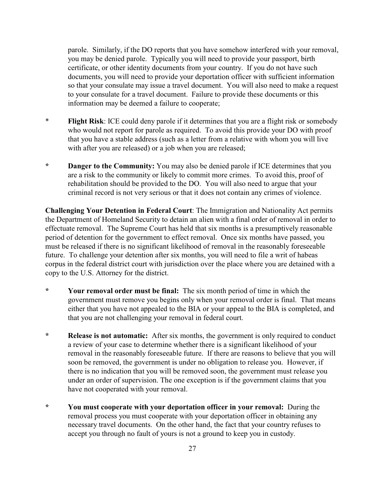parole. Similarly, if the DO reports that you have somehow interfered with your removal, you may be denied parole. Typically you will need to provide your passport, birth certificate, or other identity documents from your country. If you do not have such documents, you will need to provide your deportation officer with sufficient information so that your consulate may issue a travel document. You will also need to make a request to your consulate for a travel document. Failure to provide these documents or this information may be deemed a failure to cooperate;

- \* **Flight Risk**: ICE could deny parole if it determines that you are a flight risk or somebody who would not report for parole as required. To avoid this provide your DO with proof that you have a stable address (such as a letter from a relative with whom you will live with after you are released) or a job when you are released;
- **\* Danger to the Community:** You may also be denied parole if ICE determines that you are a risk to the community or likely to commit more crimes. To avoid this, proof of rehabilitation should be provided to the DO. You will also need to argue that your criminal record is not very serious or that it does not contain any crimes of violence.

**Challenging Your Detention in Federal Court**: The Immigration and Nationality Act permits the Department of Homeland Security to detain an alien with a final order of removal in order to effectuate removal. The Supreme Court has held that six months is a presumptively reasonable period of detention for the government to effect removal. Once six months have passed, you must be released if there is no significant likelihood of removal in the reasonably foreseeable future. To challenge your detention after six months, you will need to file a writ of habeas corpus in the federal district court with jurisdiction over the place where you are detained with a copy to the U.S. Attorney for the district.

- **\* Your removal order must be final:** The six month period of time in which the government must remove you begins only when your removal order is final. That means either that you have not appealed to the BIA or your appeal to the BIA is completed, and that you are not challenging your removal in federal court.
- **\* Release is not automatic:** After six months, the government is only required to conduct a review of your case to determine whether there is a significant likelihood of your removal in the reasonably foreseeable future. If there are reasons to believe that you will soon be removed, the government is under no obligation to release you. However, if there is no indication that you will be removed soon, the government must release you under an order of supervision. The one exception is if the government claims that you have not cooperated with your removal.
- **\* You must cooperate with your deportation officer in your removal:** During the removal process you must cooperate with your deportation officer in obtaining any necessary travel documents. On the other hand, the fact that your country refuses to accept you through no fault of yours is not a ground to keep you in custody.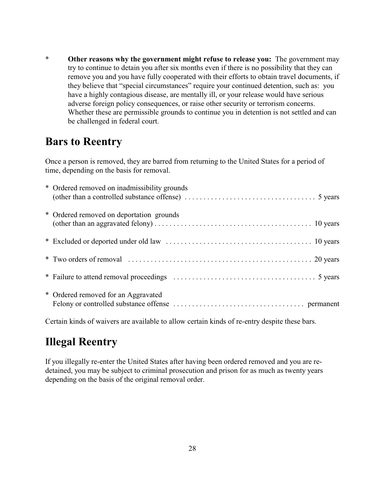**\* Other reasons why the government might refuse to release you:** The government may try to continue to detain you after six months even if there is no possibility that they can remove you and you have fully cooperated with their efforts to obtain travel documents, if they believe that "special circumstances" require your continued detention, such as: you have a highly contagious disease, are mentally ill, or your release would have serious adverse foreign policy consequences, or raise other security or terrorism concerns. Whether these are permissible grounds to continue you in detention is not settled and can be challenged in federal court.

## **Bars to Reentry**

Once a person is removed, they are barred from returning to the United States for a period of time, depending on the basis for removal.

| * Ordered removed on inadmissibility grounds |
|----------------------------------------------|
| * Ordered removed on deportation grounds     |
|                                              |
|                                              |
|                                              |
| * Ordered removed for an Aggravated          |

Certain kinds of waivers are available to allow certain kinds of re-entry despite these bars.

# **Illegal Reentry**

If you illegally re-enter the United States after having been ordered removed and you are redetained, you may be subject to criminal prosecution and prison for as much as twenty years depending on the basis of the original removal order.